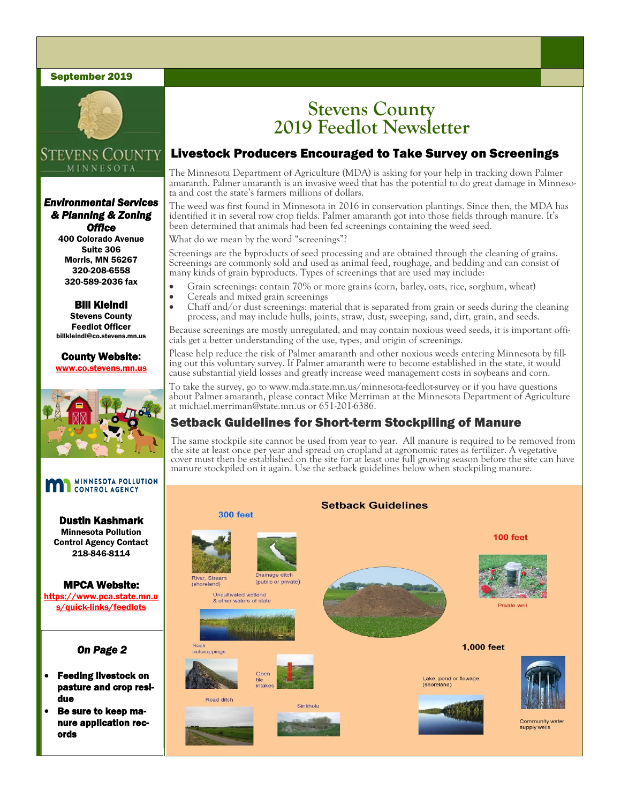#### September 2019



### **STEVENS COUNTY** MINNESOTA

#### *Environmental Services & Planning & Zoning Office*

400 Colorado Avenue Suite 306 Morris, MN 56267 320-208-6558 320-589-2036 fax

Bill Kleindl Stevens County Feedlot Officer billkleindl@co.stevens.mn.us

County Website: www.co.stevens.mn.us



# **MINNESOTA POLLUTION**

Dustin Kashmark Minnesota Pollution Control Agency Contact 218-846-8114

MPCA Website: https://www.pca.state.mn.u s/quick-links/feedlots

#### *On Page 2*

- Feeding livestock on pasture and crop residue
- Be sure to keep manure application records

## **Stevens County 2019 Feedlot Newsletter**

## Livestock Producers Encouraged to Take Survey on Screenings

The Minnesota Department of Agriculture (MDA) is asking for your help in tracking down Palmer amaranth. Palmer amaranth is an invasive weed that has the potential to do great damage in Minnesota and cost the state's farmers millions of dollars.

The weed was first found in Minnesota in 2016 in conservation plantings. Since then, the MDA has identified it in several row crop fields. Palmer amaranth got into those fields through manure. It's been determined that animals had been fed screenings containing the weed seed.

What do we mean by the word "screenings"?

Screenings are the byproducts of seed processing and are obtained through the cleaning of grains. Screenings are commonly sold and used as animal feed, roughage, and bedding and can consist of many kinds of grain byproducts. Types of screenings that are used may include:

- Grain screenings: contain 70% or more grains (corn, barley, oats, rice, sorghum, wheat)
- Cereals and mixed grain screenings
- Chaff and/or dust screenings: material that is separated from grain or seeds during the cleaning process, and may include hulls, joints, straw, dust, sweeping, sand, dirt, grain, and seeds.

Because screenings are mostly unregulated, and may contain noxious weed seeds, it is important officials get a better understanding of the use, types, and origin of screenings.

Please help reduce the risk of Palmer amaranth and other noxious weeds entering Minnesota by filling out this voluntary survey. If Palmer amaranth were to become established in the state, it would cause substantial yield losses and greatly increase weed management costs in soybeans and corn.

To take the survey, go to www.mda.state.mn.us/minnesota-feedlot-survey or if you have questions about Palmer amaranth, please contact Mike Merriman at the Minnesota Department of Agriculture at michael.merriman@state.mn.us or 651-201-6386.

## Setback Guidelines for Short-term Stockpiling of Manure

The same stockpile site cannot be used from year to year. All manure is required to be removed from the site at least once per year and spread on cropland at agronomic rates as fertilizer. A vegetative cover must then be established on the site for at least one full growing season before the site can have manure stockpiled on it again. Use the setback guidelines below when stockpiling manure.